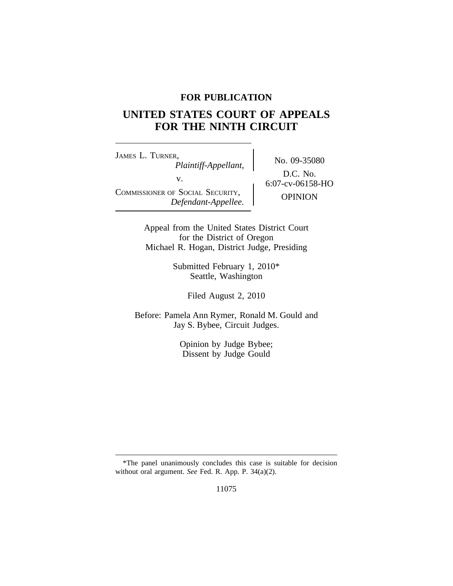## **FOR PUBLICATION**

# **UNITED STATES COURT OF APPEALS FOR THE NINTH CIRCUIT**

<sup>J</sup>AMES L. TURNER, No. 09-35080 *Plaintiff-Appellant,* v.  $6:07$ -cv-06158-HO COMMISSIONER OF SOCIAL SECURITY, OPINION *Defendant-Appellee.*

D.C. No.

Appeal from the United States District Court for the District of Oregon Michael R. Hogan, District Judge, Presiding

> Submitted February 1, 2010\* Seattle, Washington

> > Filed August 2, 2010

Before: Pamela Ann Rymer, Ronald M. Gould and Jay S. Bybee, Circuit Judges.

> Opinion by Judge Bybee; Dissent by Judge Gould

<sup>\*</sup>The panel unanimously concludes this case is suitable for decision without oral argument. *See* Fed. R. App. P. 34(a)(2).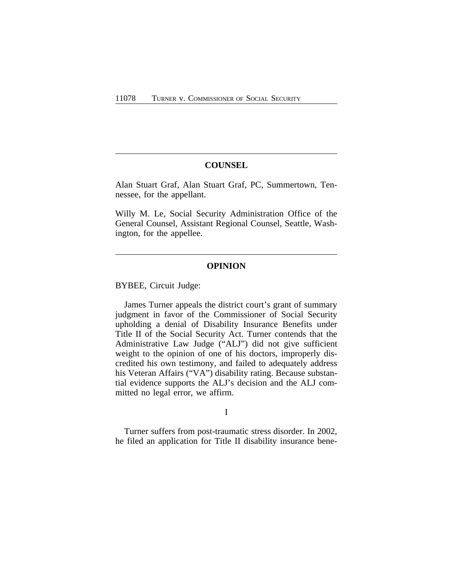#### **COUNSEL**

Alan Stuart Graf, Alan Stuart Graf, PC, Summertown, Tennessee, for the appellant.

Willy M. Le, Social Security Administration Office of the General Counsel, Assistant Regional Counsel, Seattle, Washington, for the appellee.

### **OPINION**

BYBEE, Circuit Judge:

James Turner appeals the district court's grant of summary judgment in favor of the Commissioner of Social Security upholding a denial of Disability Insurance Benefits under Title II of the Social Security Act. Turner contends that the Administrative Law Judge ("ALJ") did not give sufficient weight to the opinion of one of his doctors, improperly discredited his own testimony, and failed to adequately address his Veteran Affairs ("VA") disability rating. Because substantial evidence supports the ALJ's decision and the ALJ committed no legal error, we affirm.

I

Turner suffers from post-traumatic stress disorder. In 2002, he filed an application for Title II disability insurance bene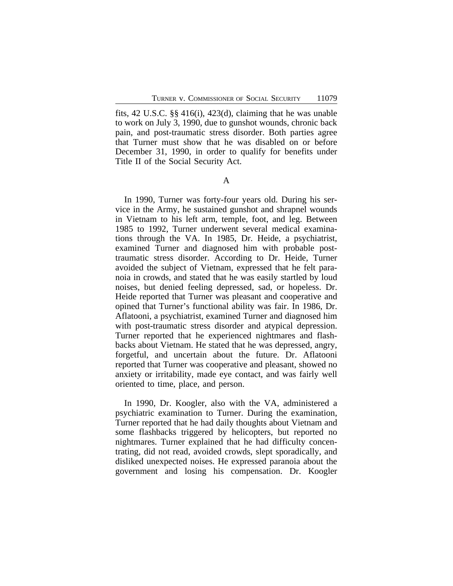fits, 42 U.S.C. §§ 416(i), 423(d), claiming that he was unable to work on July 3, 1990, due to gunshot wounds, chronic back pain, and post-traumatic stress disorder. Both parties agree that Turner must show that he was disabled on or before December 31, 1990, in order to qualify for benefits under Title II of the Social Security Act.

A

In 1990, Turner was forty-four years old. During his service in the Army, he sustained gunshot and shrapnel wounds in Vietnam to his left arm, temple, foot, and leg. Between 1985 to 1992, Turner underwent several medical examinations through the VA. In 1985, Dr. Heide, a psychiatrist, examined Turner and diagnosed him with probable posttraumatic stress disorder. According to Dr. Heide, Turner avoided the subject of Vietnam, expressed that he felt paranoia in crowds, and stated that he was easily startled by loud noises, but denied feeling depressed, sad, or hopeless. Dr. Heide reported that Turner was pleasant and cooperative and opined that Turner's functional ability was fair. In 1986, Dr. Aflatooni, a psychiatrist, examined Turner and diagnosed him with post-traumatic stress disorder and atypical depression. Turner reported that he experienced nightmares and flashbacks about Vietnam. He stated that he was depressed, angry, forgetful, and uncertain about the future. Dr. Aflatooni reported that Turner was cooperative and pleasant, showed no anxiety or irritability, made eye contact, and was fairly well oriented to time, place, and person.

In 1990, Dr. Koogler, also with the VA, administered a psychiatric examination to Turner. During the examination, Turner reported that he had daily thoughts about Vietnam and some flashbacks triggered by helicopters, but reported no nightmares. Turner explained that he had difficulty concentrating, did not read, avoided crowds, slept sporadically, and disliked unexpected noises. He expressed paranoia about the government and losing his compensation. Dr. Koogler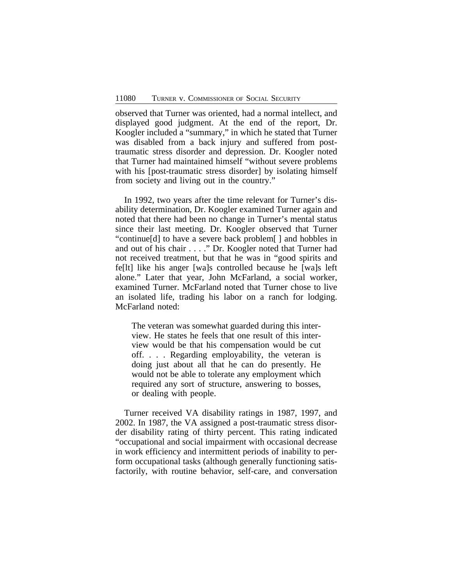observed that Turner was oriented, had a normal intellect, and displayed good judgment. At the end of the report, Dr. Koogler included a "summary," in which he stated that Turner was disabled from a back injury and suffered from posttraumatic stress disorder and depression. Dr. Koogler noted that Turner had maintained himself "without severe problems with his [post-traumatic stress disorder] by isolating himself from society and living out in the country."

In 1992, two years after the time relevant for Turner's disability determination, Dr. Koogler examined Turner again and noted that there had been no change in Turner's mental status since their last meeting. Dr. Koogler observed that Turner "continue[d] to have a severe back problem[ ] and hobbles in and out of his chair . . . ." Dr. Koogler noted that Turner had not received treatment, but that he was in "good spirits and fe[lt] like his anger [wa]s controlled because he [wa]s left alone." Later that year, John McFarland, a social worker, examined Turner. McFarland noted that Turner chose to live an isolated life, trading his labor on a ranch for lodging. McFarland noted:

The veteran was somewhat guarded during this interview. He states he feels that one result of this interview would be that his compensation would be cut off. . . . Regarding employability, the veteran is doing just about all that he can do presently. He would not be able to tolerate any employment which required any sort of structure, answering to bosses, or dealing with people.

Turner received VA disability ratings in 1987, 1997, and 2002. In 1987, the VA assigned a post-traumatic stress disorder disability rating of thirty percent. This rating indicated "occupational and social impairment with occasional decrease in work efficiency and intermittent periods of inability to perform occupational tasks (although generally functioning satisfactorily, with routine behavior, self-care, and conversation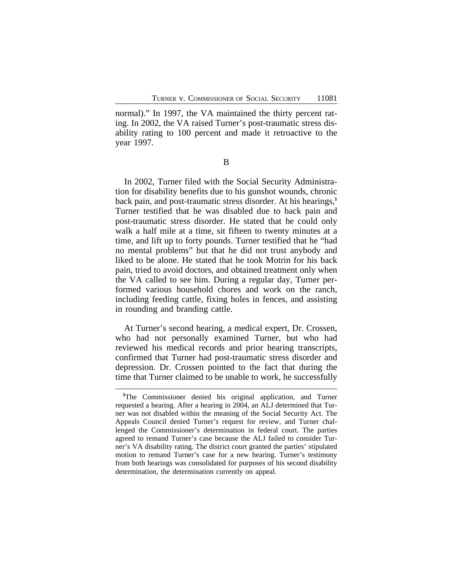normal)." In 1997, the VA maintained the thirty percent rating. In 2002, the VA raised Turner's post-traumatic stress disability rating to 100 percent and made it retroactive to the year 1997.

B

In 2002, Turner filed with the Social Security Administration for disability benefits due to his gunshot wounds, chronic back pain, and post-traumatic stress disorder. At his hearings,**<sup>1</sup>** Turner testified that he was disabled due to back pain and post-traumatic stress disorder. He stated that he could only walk a half mile at a time, sit fifteen to twenty minutes at a time, and lift up to forty pounds. Turner testified that he "had no mental problems" but that he did not trust anybody and liked to be alone. He stated that he took Motrin for his back pain, tried to avoid doctors, and obtained treatment only when the VA called to see him. During a regular day, Turner performed various household chores and work on the ranch, including feeding cattle, fixing holes in fences, and assisting in rounding and branding cattle.

At Turner's second hearing, a medical expert, Dr. Crossen, who had not personally examined Turner, but who had reviewed his medical records and prior hearing transcripts, confirmed that Turner had post-traumatic stress disorder and depression. Dr. Crossen pointed to the fact that during the time that Turner claimed to be unable to work, he successfully

**<sup>1</sup>**The Commissioner denied his original application, and Turner requested a hearing. After a hearing in 2004, an ALJ determined that Turner was not disabled within the meaning of the Social Security Act. The Appeals Council denied Turner's request for review, and Turner challenged the Commissioner's determination in federal court. The parties agreed to remand Turner's case because the ALJ failed to consider Turner's VA disability rating. The district court granted the parties' stipulated motion to remand Turner's case for a new hearing. Turner's testimony from both hearings was consolidated for purposes of his second disability determination, the determination currently on appeal.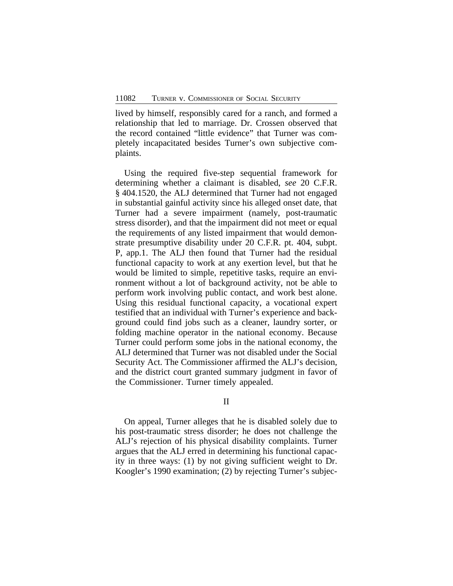lived by himself, responsibly cared for a ranch, and formed a relationship that led to marriage. Dr. Crossen observed that the record contained "little evidence" that Turner was completely incapacitated besides Turner's own subjective complaints.

Using the required five-step sequential framework for determining whether a claimant is disabled, *see* 20 C.F.R. § 404.1520, the ALJ determined that Turner had not engaged in substantial gainful activity since his alleged onset date, that Turner had a severe impairment (namely, post-traumatic stress disorder), and that the impairment did not meet or equal the requirements of any listed impairment that would demonstrate presumptive disability under 20 C.F.R. pt. 404, subpt. P, app.1. The ALJ then found that Turner had the residual functional capacity to work at any exertion level, but that he would be limited to simple, repetitive tasks, require an environment without a lot of background activity, not be able to perform work involving public contact, and work best alone. Using this residual functional capacity, a vocational expert testified that an individual with Turner's experience and background could find jobs such as a cleaner, laundry sorter, or folding machine operator in the national economy. Because Turner could perform some jobs in the national economy, the ALJ determined that Turner was not disabled under the Social Security Act. The Commissioner affirmed the ALJ's decision, and the district court granted summary judgment in favor of the Commissioner. Turner timely appealed.

#### II

On appeal, Turner alleges that he is disabled solely due to his post-traumatic stress disorder; he does not challenge the ALJ's rejection of his physical disability complaints. Turner argues that the ALJ erred in determining his functional capacity in three ways: (1) by not giving sufficient weight to Dr. Koogler's 1990 examination; (2) by rejecting Turner's subjec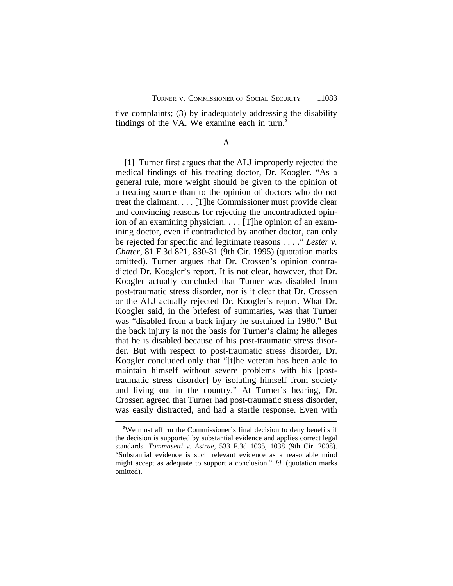tive complaints; (3) by inadequately addressing the disability findings of the VA. We examine each in turn.**<sup>2</sup>**

A

**[1]** Turner first argues that the ALJ improperly rejected the medical findings of his treating doctor, Dr. Koogler. "As a general rule, more weight should be given to the opinion of a treating source than to the opinion of doctors who do not treat the claimant. . . . [T]he Commissioner must provide clear and convincing reasons for rejecting the uncontradicted opinion of an examining physician. . . . [T]he opinion of an examining doctor, even if contradicted by another doctor, can only be rejected for specific and legitimate reasons . . . ." *Lester v. Chater*, 81 F.3d 821, 830-31 (9th Cir. 1995) (quotation marks omitted). Turner argues that Dr. Crossen's opinion contradicted Dr. Koogler's report. It is not clear, however, that Dr. Koogler actually concluded that Turner was disabled from post-traumatic stress disorder, nor is it clear that Dr. Crossen or the ALJ actually rejected Dr. Koogler's report. What Dr. Koogler said, in the briefest of summaries, was that Turner was "disabled from a back injury he sustained in 1980." But the back injury is not the basis for Turner's claim; he alleges that he is disabled because of his post-traumatic stress disorder. But with respect to post-traumatic stress disorder, Dr. Koogler concluded only that "[t]he veteran has been able to maintain himself without severe problems with his [posttraumatic stress disorder] by isolating himself from society and living out in the country." At Turner's hearing, Dr. Crossen agreed that Turner had post-traumatic stress disorder, was easily distracted, and had a startle response. Even with

<sup>&</sup>lt;sup>2</sup>We must affirm the Commissioner's final decision to deny benefits if the decision is supported by substantial evidence and applies correct legal standards. *Tommasetti v. Astrue*, 533 F.3d 1035, 1038 (9th Cir. 2008). "Substantial evidence is such relevant evidence as a reasonable mind might accept as adequate to support a conclusion." *Id.* (quotation marks omitted).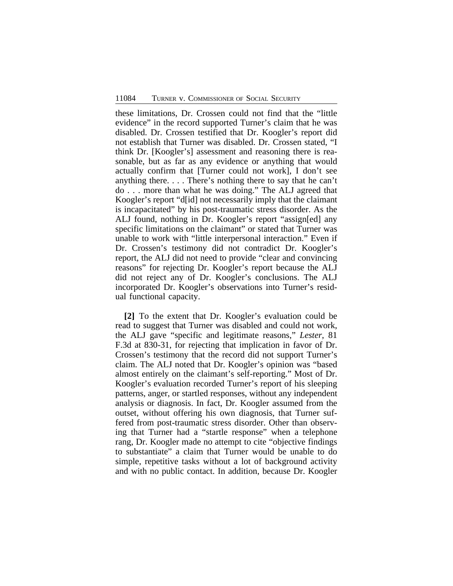these limitations, Dr. Crossen could not find that the "little evidence" in the record supported Turner's claim that he was disabled. Dr. Crossen testified that Dr. Koogler's report did not establish that Turner was disabled. Dr. Crossen stated, "I think Dr. [Koogler's] assessment and reasoning there is reasonable, but as far as any evidence or anything that would actually confirm that [Turner could not work], I don't see anything there. . . . There's nothing there to say that he can't do . . . more than what he was doing." The ALJ agreed that Koogler's report "d[id] not necessarily imply that the claimant is incapacitated" by his post-traumatic stress disorder. As the ALJ found, nothing in Dr. Koogler's report "assign[ed] any specific limitations on the claimant" or stated that Turner was unable to work with "little interpersonal interaction." Even if Dr. Crossen's testimony did not contradict Dr. Koogler's report, the ALJ did not need to provide "clear and convincing reasons" for rejecting Dr. Koogler's report because the ALJ did not reject any of Dr. Koogler's conclusions. The ALJ incorporated Dr. Koogler's observations into Turner's residual functional capacity.

**[2]** To the extent that Dr. Koogler's evaluation could be read to suggest that Turner was disabled and could not work, the ALJ gave "specific and legitimate reasons," *Lester*, 81 F.3d at 830-31, for rejecting that implication in favor of Dr. Crossen's testimony that the record did not support Turner's claim. The ALJ noted that Dr. Koogler's opinion was "based almost entirely on the claimant's self-reporting." Most of Dr. Koogler's evaluation recorded Turner's report of his sleeping patterns, anger, or startled responses, without any independent analysis or diagnosis. In fact, Dr. Koogler assumed from the outset, without offering his own diagnosis, that Turner suffered from post-traumatic stress disorder. Other than observing that Turner had a "startle response" when a telephone rang, Dr. Koogler made no attempt to cite "objective findings to substantiate" a claim that Turner would be unable to do simple, repetitive tasks without a lot of background activity and with no public contact. In addition, because Dr. Koogler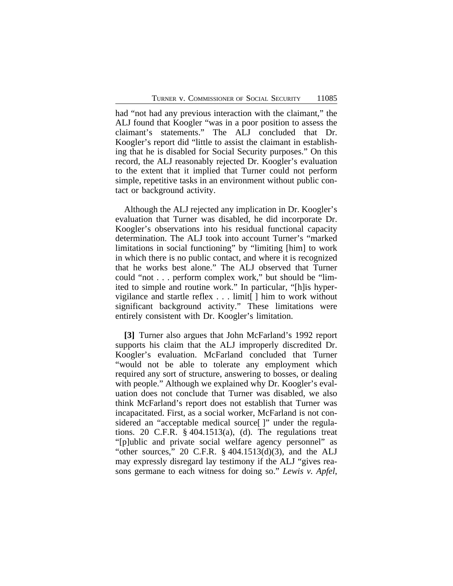had "not had any previous interaction with the claimant," the ALJ found that Koogler "was in a poor position to assess the claimant's statements." The ALJ concluded that Dr. Koogler's report did "little to assist the claimant in establishing that he is disabled for Social Security purposes." On this record, the ALJ reasonably rejected Dr. Koogler's evaluation to the extent that it implied that Turner could not perform simple, repetitive tasks in an environment without public contact or background activity.

Although the ALJ rejected any implication in Dr. Koogler's evaluation that Turner was disabled, he did incorporate Dr. Koogler's observations into his residual functional capacity determination. The ALJ took into account Turner's "marked limitations in social functioning" by "limiting [him] to work in which there is no public contact, and where it is recognized that he works best alone." The ALJ observed that Turner could "not . . . perform complex work," but should be "limited to simple and routine work." In particular, "[h]is hypervigilance and startle reflex . . . limit[ ] him to work without significant background activity." These limitations were entirely consistent with Dr. Koogler's limitation.

**[3]** Turner also argues that John McFarland's 1992 report supports his claim that the ALJ improperly discredited Dr. Koogler's evaluation. McFarland concluded that Turner "would not be able to tolerate any employment which required any sort of structure, answering to bosses, or dealing with people." Although we explained why Dr. Koogler's evaluation does not conclude that Turner was disabled, we also think McFarland's report does not establish that Turner was incapacitated. First, as a social worker, McFarland is not considered an "acceptable medical source[]" under the regulations. 20 C.F.R. § 404.1513(a), (d). The regulations treat "[p]ublic and private social welfare agency personnel" as "other sources," 20 C.F.R. § 404.1513(d)(3), and the ALJ may expressly disregard lay testimony if the ALJ "gives reasons germane to each witness for doing so." *Lewis v. Apfel*,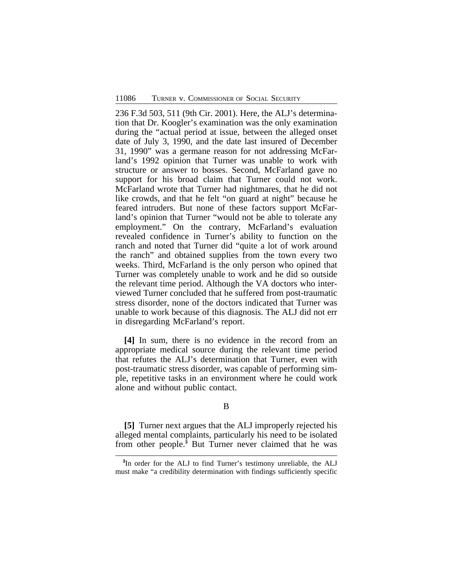236 F.3d 503, 511 (9th Cir. 2001). Here, the ALJ's determination that Dr. Koogler's examination was the only examination during the "actual period at issue, between the alleged onset date of July 3, 1990, and the date last insured of December 31, 1990" was a germane reason for not addressing McFarland's 1992 opinion that Turner was unable to work with structure or answer to bosses. Second, McFarland gave no support for his broad claim that Turner could not work. McFarland wrote that Turner had nightmares, that he did not like crowds, and that he felt "on guard at night" because he feared intruders. But none of these factors support McFarland's opinion that Turner "would not be able to tolerate any employment." On the contrary, McFarland's evaluation revealed confidence in Turner's ability to function on the ranch and noted that Turner did "quite a lot of work around the ranch" and obtained supplies from the town every two weeks. Third, McFarland is the only person who opined that Turner was completely unable to work and he did so outside the relevant time period. Although the VA doctors who interviewed Turner concluded that he suffered from post-traumatic stress disorder, none of the doctors indicated that Turner was unable to work because of this diagnosis. The ALJ did not err in disregarding McFarland's report.

**[4]** In sum, there is no evidence in the record from an appropriate medical source during the relevant time period that refutes the ALJ's determination that Turner, even with post-traumatic stress disorder, was capable of performing simple, repetitive tasks in an environment where he could work alone and without public contact.

#### B

**[5]** Turner next argues that the ALJ improperly rejected his alleged mental complaints, particularly his need to be isolated from other people.**<sup>3</sup>** But Turner never claimed that he was

**<sup>3</sup>** In order for the ALJ to find Turner's testimony unreliable, the ALJ must make "a credibility determination with findings sufficiently specific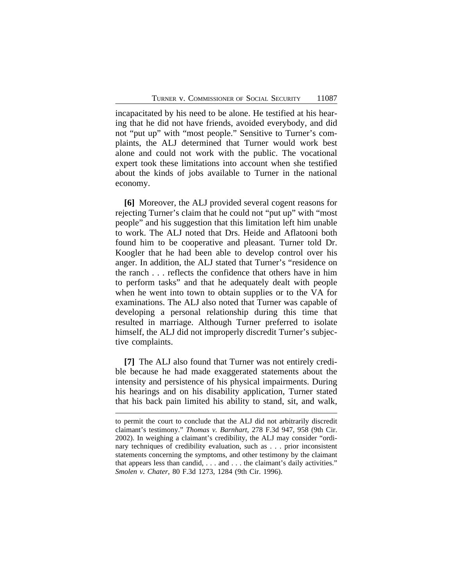incapacitated by his need to be alone. He testified at his hearing that he did not have friends, avoided everybody, and did not "put up" with "most people." Sensitive to Turner's complaints, the ALJ determined that Turner would work best alone and could not work with the public. The vocational expert took these limitations into account when she testified about the kinds of jobs available to Turner in the national economy.

**[6]** Moreover, the ALJ provided several cogent reasons for rejecting Turner's claim that he could not "put up" with "most people" and his suggestion that this limitation left him unable to work. The ALJ noted that Drs. Heide and Aflatooni both found him to be cooperative and pleasant. Turner told Dr. Koogler that he had been able to develop control over his anger. In addition, the ALJ stated that Turner's "residence on the ranch . . . reflects the confidence that others have in him to perform tasks" and that he adequately dealt with people when he went into town to obtain supplies or to the VA for examinations. The ALJ also noted that Turner was capable of developing a personal relationship during this time that resulted in marriage. Although Turner preferred to isolate himself, the ALJ did not improperly discredit Turner's subjective complaints.

**[7]** The ALJ also found that Turner was not entirely credible because he had made exaggerated statements about the intensity and persistence of his physical impairments. During his hearings and on his disability application, Turner stated that his back pain limited his ability to stand, sit, and walk,

to permit the court to conclude that the ALJ did not arbitrarily discredit claimant's testimony." *Thomas v. Barnhart*, 278 F.3d 947, 958 (9th Cir. 2002). In weighing a claimant's credibility, the ALJ may consider "ordinary techniques of credibility evaluation, such as . . . prior inconsistent statements concerning the symptoms, and other testimony by the claimant that appears less than candid, . . . and . . . the claimant's daily activities." *Smolen v. Chater*, 80 F.3d 1273, 1284 (9th Cir. 1996).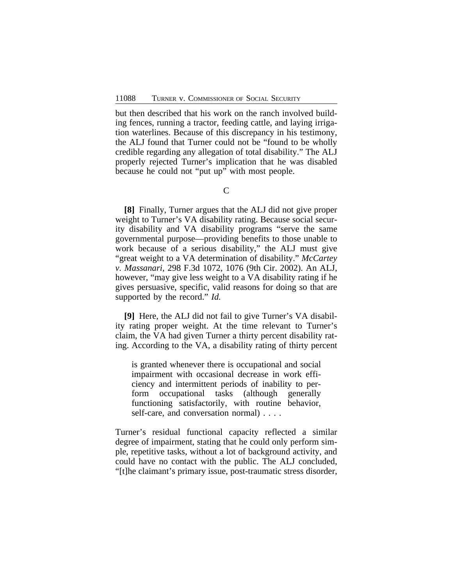but then described that his work on the ranch involved building fences, running a tractor, feeding cattle, and laying irrigation waterlines. Because of this discrepancy in his testimony, the ALJ found that Turner could not be "found to be wholly credible regarding any allegation of total disability." The ALJ properly rejected Turner's implication that he was disabled because he could not "put up" with most people.

**[8]** Finally, Turner argues that the ALJ did not give proper weight to Turner's VA disability rating. Because social security disability and VA disability programs "serve the same governmental purpose—providing benefits to those unable to work because of a serious disability," the ALJ must give "great weight to a VA determination of disability." *McCartey v. Massanari*, 298 F.3d 1072, 1076 (9th Cir. 2002). An ALJ, however, "may give less weight to a VA disability rating if he gives persuasive, specific, valid reasons for doing so that are supported by the record." *Id.*

**[9]** Here, the ALJ did not fail to give Turner's VA disability rating proper weight. At the time relevant to Turner's claim, the VA had given Turner a thirty percent disability rating. According to the VA, a disability rating of thirty percent

is granted whenever there is occupational and social impairment with occasional decrease in work efficiency and intermittent periods of inability to perform occupational tasks (although generally functioning satisfactorily, with routine behavior, self-care, and conversation normal) . . . .

Turner's residual functional capacity reflected a similar degree of impairment, stating that he could only perform simple, repetitive tasks, without a lot of background activity, and could have no contact with the public. The ALJ concluded, "[t]he claimant's primary issue, post-traumatic stress disorder,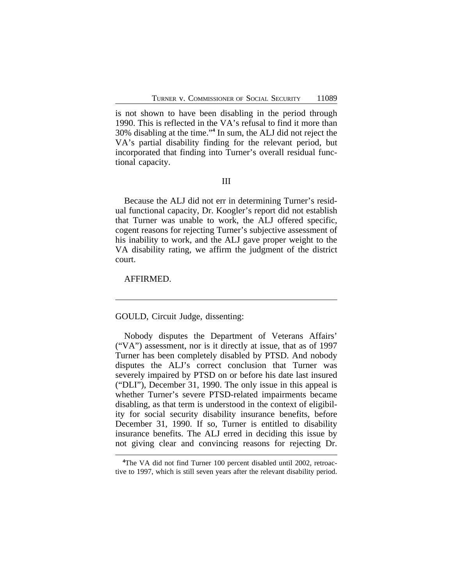is not shown to have been disabling in the period through 1990. This is reflected in the VA's refusal to find it more than 30% disabling at the time." **4** In sum, the ALJ did not reject the VA's partial disability finding for the relevant period, but incorporated that finding into Turner's overall residual functional capacity.

III

Because the ALJ did not err in determining Turner's residual functional capacity, Dr. Koogler's report did not establish that Turner was unable to work, the ALJ offered specific, cogent reasons for rejecting Turner's subjective assessment of his inability to work, and the ALJ gave proper weight to the VA disability rating, we affirm the judgment of the district court.

AFFIRMED.

GOULD, Circuit Judge, dissenting:

Nobody disputes the Department of Veterans Affairs' ("VA") assessment, nor is it directly at issue, that as of 1997 Turner has been completely disabled by PTSD. And nobody disputes the ALJ's correct conclusion that Turner was severely impaired by PTSD on or before his date last insured ("DLI"), December 31, 1990. The only issue in this appeal is whether Turner's severe PTSD-related impairments became disabling, as that term is understood in the context of eligibility for social security disability insurance benefits, before December 31, 1990. If so, Turner is entitled to disability insurance benefits. The ALJ erred in deciding this issue by not giving clear and convincing reasons for rejecting Dr.

**<sup>4</sup>**The VA did not find Turner 100 percent disabled until 2002, retroactive to 1997, which is still seven years after the relevant disability period.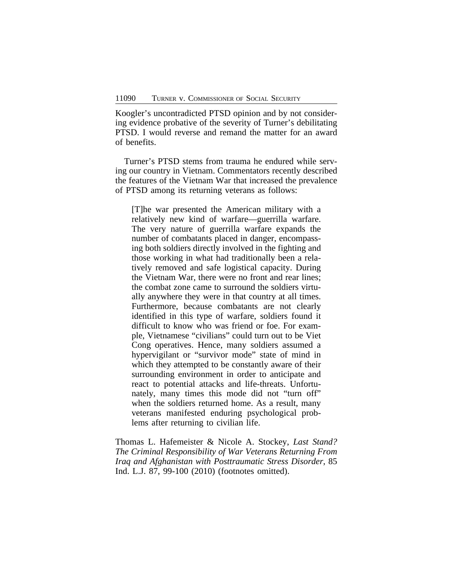Koogler's uncontradicted PTSD opinion and by not considering evidence probative of the severity of Turner's debilitating PTSD. I would reverse and remand the matter for an award of benefits.

Turner's PTSD stems from trauma he endured while serving our country in Vietnam. Commentators recently described the features of the Vietnam War that increased the prevalence of PTSD among its returning veterans as follows:

[T]he war presented the American military with a relatively new kind of warfare—guerrilla warfare. The very nature of guerrilla warfare expands the number of combatants placed in danger, encompassing both soldiers directly involved in the fighting and those working in what had traditionally been a relatively removed and safe logistical capacity. During the Vietnam War, there were no front and rear lines; the combat zone came to surround the soldiers virtually anywhere they were in that country at all times. Furthermore, because combatants are not clearly identified in this type of warfare, soldiers found it difficult to know who was friend or foe. For example, Vietnamese "civilians" could turn out to be Viet Cong operatives. Hence, many soldiers assumed a hypervigilant or "survivor mode" state of mind in which they attempted to be constantly aware of their surrounding environment in order to anticipate and react to potential attacks and life-threats. Unfortunately, many times this mode did not "turn off" when the soldiers returned home. As a result, many veterans manifested enduring psychological problems after returning to civilian life.

Thomas L. Hafemeister & Nicole A. Stockey, *Last Stand? The Criminal Responsibility of War Veterans Returning From Iraq and Afghanistan with Posttraumatic Stress Disorder*, 85 Ind. L.J. 87, 99-100 (2010) (footnotes omitted).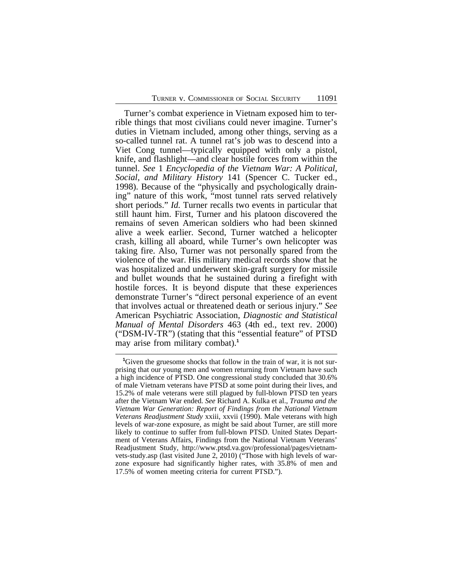Turner's combat experience in Vietnam exposed him to terrible things that most civilians could never imagine. Turner's duties in Vietnam included, among other things, serving as a so-called tunnel rat. A tunnel rat's job was to descend into a Viet Cong tunnel—typically equipped with only a pistol, knife, and flashlight—and clear hostile forces from within the tunnel. *See* 1 *Encyclopedia of the Vietnam War: A Political, Social, and Military History* 141 (Spencer C. Tucker ed., 1998). Because of the "physically and psychologically draining" nature of this work, "most tunnel rats served relatively short periods." *Id.* Turner recalls two events in particular that still haunt him. First, Turner and his platoon discovered the remains of seven American soldiers who had been skinned alive a week earlier. Second, Turner watched a helicopter crash, killing all aboard, while Turner's own helicopter was taking fire. Also, Turner was not personally spared from the violence of the war. His military medical records show that he was hospitalized and underwent skin-graft surgery for missile and bullet wounds that he sustained during a firefight with hostile forces. It is beyond dispute that these experiences demonstrate Turner's "direct personal experience of an event that involves actual or threatened death or serious injury." *See* American Psychiatric Association, *Diagnostic and Statistical Manual of Mental Disorders* 463 (4th ed., text rev. 2000) ("DSM-IV-TR") (stating that this "essential feature" of PTSD may arise from military combat).**<sup>1</sup>**

**<sup>1</sup>**Given the gruesome shocks that follow in the train of war, it is not surprising that our young men and women returning from Vietnam have such a high incidence of PTSD. One congressional study concluded that 30.6% of male Vietnam veterans have PTSD at some point during their lives, and 15.2% of male veterans were still plagued by full-blown PTSD ten years after the Vietnam War ended. *See* Richard A. Kulka et al., *Trauma and the Vietnam War Generation: Report of Findings from the National Vietnam Veterans Readjustment Study* xxiii, xxvii (1990). Male veterans with high levels of war-zone exposure, as might be said about Turner, are still more likely to continue to suffer from full-blown PTSD. United States Department of Veterans Affairs, Findings from the National Vietnam Veterans' Readjustment Study, http://www.ptsd.va.gov/professional/pages/vietnamvets-study.asp (last visited June 2, 2010) ("Those with high levels of warzone exposure had significantly higher rates, with 35.8% of men and 17.5% of women meeting criteria for current PTSD.").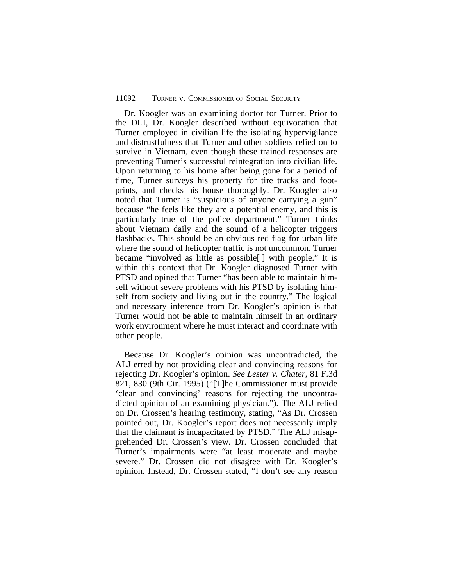Dr. Koogler was an examining doctor for Turner. Prior to the DLI, Dr. Koogler described without equivocation that Turner employed in civilian life the isolating hypervigilance and distrustfulness that Turner and other soldiers relied on to survive in Vietnam, even though these trained responses are preventing Turner's successful reintegration into civilian life. Upon returning to his home after being gone for a period of time, Turner surveys his property for tire tracks and footprints, and checks his house thoroughly. Dr. Koogler also noted that Turner is "suspicious of anyone carrying a gun" because "he feels like they are a potential enemy, and this is particularly true of the police department." Turner thinks about Vietnam daily and the sound of a helicopter triggers flashbacks. This should be an obvious red flag for urban life where the sound of helicopter traffic is not uncommon. Turner became "involved as little as possible[ ] with people." It is within this context that Dr. Koogler diagnosed Turner with PTSD and opined that Turner "has been able to maintain himself without severe problems with his PTSD by isolating himself from society and living out in the country." The logical and necessary inference from Dr. Koogler's opinion is that Turner would not be able to maintain himself in an ordinary work environment where he must interact and coordinate with other people.

Because Dr. Koogler's opinion was uncontradicted, the ALJ erred by not providing clear and convincing reasons for rejecting Dr. Koogler's opinion. *See Lester v. Chater*, 81 F.3d 821, 830 (9th Cir. 1995) ("[T]he Commissioner must provide 'clear and convincing' reasons for rejecting the uncontradicted opinion of an examining physician."). The ALJ relied on Dr. Crossen's hearing testimony, stating, "As Dr. Crossen pointed out, Dr. Koogler's report does not necessarily imply that the claimant is incapacitated by PTSD." The ALJ misapprehended Dr. Crossen's view. Dr. Crossen concluded that Turner's impairments were "at least moderate and maybe severe." Dr. Crossen did not disagree with Dr. Koogler's opinion. Instead, Dr. Crossen stated, "I don't see any reason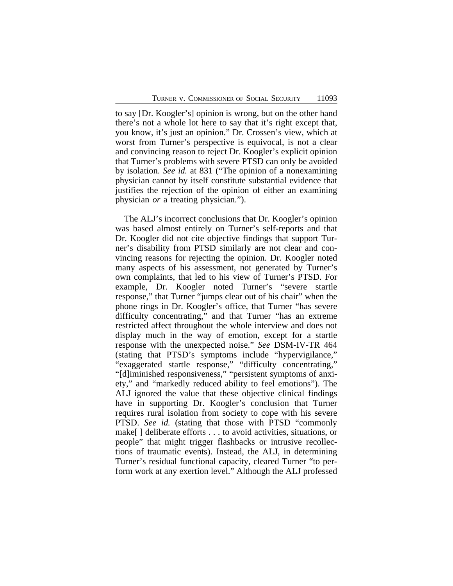to say [Dr. Koogler's] opinion is wrong, but on the other hand there's not a whole lot here to say that it's right except that, you know, it's just an opinion." Dr. Crossen's view, which at worst from Turner's perspective is equivocal, is not a clear and convincing reason to reject Dr. Koogler's explicit opinion that Turner's problems with severe PTSD can only be avoided by isolation. *See id.* at 831 ("The opinion of a nonexamining physician cannot by itself constitute substantial evidence that justifies the rejection of the opinion of either an examining physician *or* a treating physician.").

The ALJ's incorrect conclusions that Dr. Koogler's opinion was based almost entirely on Turner's self-reports and that Dr. Koogler did not cite objective findings that support Turner's disability from PTSD similarly are not clear and convincing reasons for rejecting the opinion. Dr. Koogler noted many aspects of his assessment, not generated by Turner's own complaints, that led to his view of Turner's PTSD. For example, Dr. Koogler noted Turner's "severe startle response," that Turner "jumps clear out of his chair" when the phone rings in Dr. Koogler's office, that Turner "has severe difficulty concentrating," and that Turner "has an extreme restricted affect throughout the whole interview and does not display much in the way of emotion, except for a startle response with the unexpected noise." *See* DSM-IV-TR 464 (stating that PTSD's symptoms include "hypervigilance," "exaggerated startle response," "difficulty concentrating," "[d]iminished responsiveness," "persistent symptoms of anxiety," and "markedly reduced ability to feel emotions"). The ALJ ignored the value that these objective clinical findings have in supporting Dr. Koogler's conclusion that Turner requires rural isolation from society to cope with his severe PTSD. *See id.* (stating that those with PTSD "commonly make[ ] deliberate efforts . . . to avoid activities, situations, or people" that might trigger flashbacks or intrusive recollections of traumatic events). Instead, the ALJ, in determining Turner's residual functional capacity, cleared Turner "to perform work at any exertion level." Although the ALJ professed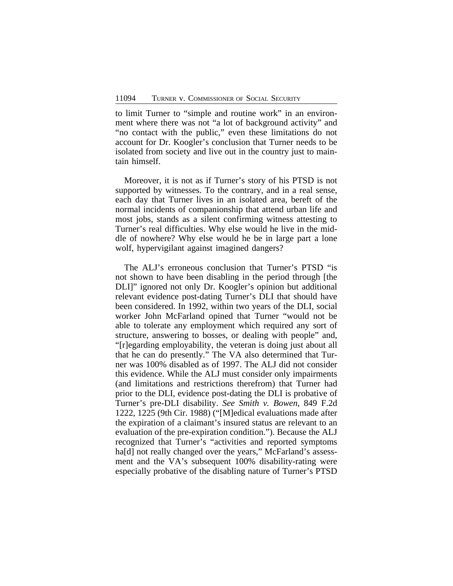to limit Turner to "simple and routine work" in an environment where there was not "a lot of background activity" and "no contact with the public," even these limitations do not account for Dr. Koogler's conclusion that Turner needs to be isolated from society and live out in the country just to maintain himself.

Moreover, it is not as if Turner's story of his PTSD is not supported by witnesses. To the contrary, and in a real sense, each day that Turner lives in an isolated area, bereft of the normal incidents of companionship that attend urban life and most jobs, stands as a silent confirming witness attesting to Turner's real difficulties. Why else would he live in the middle of nowhere? Why else would he be in large part a lone wolf, hypervigilant against imagined dangers?

The ALJ's erroneous conclusion that Turner's PTSD "is not shown to have been disabling in the period through [the DLI]" ignored not only Dr. Koogler's opinion but additional relevant evidence post-dating Turner's DLI that should have been considered. In 1992, within two years of the DLI, social worker John McFarland opined that Turner "would not be able to tolerate any employment which required any sort of structure, answering to bosses, or dealing with people" and, "[r]egarding employability, the veteran is doing just about all that he can do presently." The VA also determined that Turner was 100% disabled as of 1997. The ALJ did not consider this evidence. While the ALJ must consider only impairments (and limitations and restrictions therefrom) that Turner had prior to the DLI, evidence post-dating the DLI is probative of Turner's pre-DLI disability. *See Smith v. Bowen*, 849 F.2d 1222, 1225 (9th Cir. 1988) ("[M]edical evaluations made after the expiration of a claimant's insured status are relevant to an evaluation of the pre-expiration condition."). Because the ALJ recognized that Turner's "activities and reported symptoms ha[d] not really changed over the years," McFarland's assessment and the VA's subsequent 100% disability-rating were especially probative of the disabling nature of Turner's PTSD